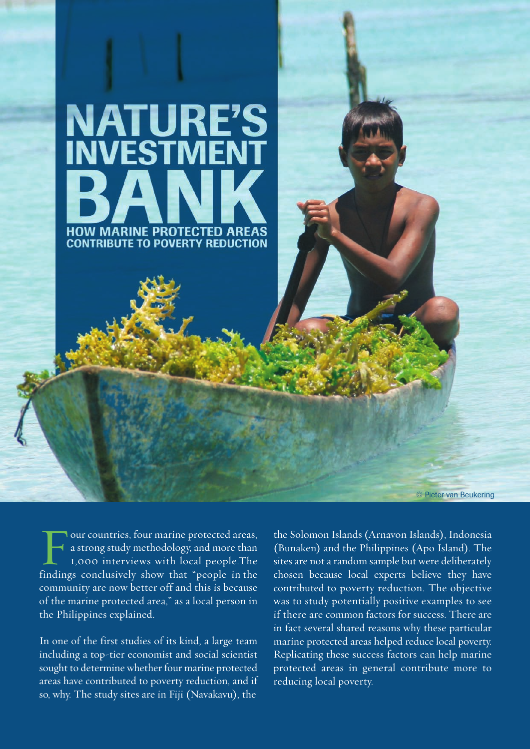

Four countries, four marine protected areas,<br>a strong study methodology, and more than<br>1,000 interviews with local people.The a strong study methodology, and more than 1,000 interviews with local people.The findings conclusively show that "people in the community are now better off and this is because of the marine protected area," as a local person in the Philippines explained.

In one of the first studies of its kind, a large team including a top-tier economist and social scientist sought to determine whether four marine protected areas have contributed to poverty reduction, and if so, why. The study sites are in Fiji (Navakavu), the

the Solomon Islands (Arnavon Islands), Indonesia (Bunaken) and the Philippines (Apo Island). The sites are not a random sample but were deliberately chosen because local experts believe they have contributed to poverty reduction. The objective was to study potentially positive examples to see if there are common factors for success. There are in fact several shared reasons why these particular marine protected areas helped reduce local poverty. Replicating these success factors can help marine protected areas in general contribute more to reducing local poverty.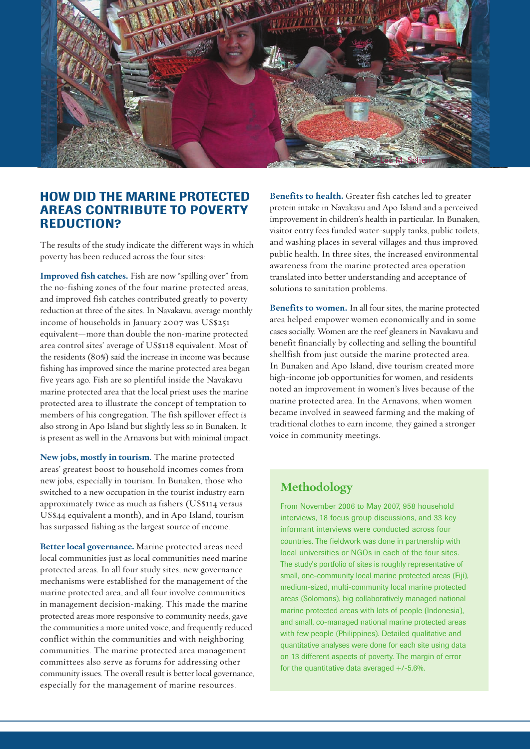

## **HOW DID THE MARINE PROTECTED AREAS CONTRIBUTE TO POVERTY REDUCTION?**

The results of the study indicate the different ways in which poverty has been reduced across the four sites:

**Improved fish catches.** Fish are now "spilling over" from the no-fishing zones of the four marine protected areas, and improved fish catches contributed greatly to poverty reduction at three of the sites. In Navakavu, average monthly income of households in January 2007 was US\$251 equivalent—more than double the non-marine protected area control sites' average of US\$118 equivalent. Most of the residents (80%) said the increase in income was because fishing has improved since the marine protected area began five years ago. Fish are so plentiful inside the Navakavu marine protected area that the local priest uses the marine protected area to illustrate the concept of temptation to members of his congregation. The fish spillover effect is also strong in Apo Island but slightly less so in Bunaken. It is present as well in the Arnavons but with minimal impact.

**New jobs, mostly in tourism**. The marine protected areas' greatest boost to household incomes comes from new jobs, especially in tourism. In Bunaken, those who switched to a new occupation in the tourist industry earn approximately twice as much as fishers (US\$114 versus US\$44 equivalent a month), and in Apo Island, tourism has surpassed fishing as the largest source of income.

**Better local governance.** Marine protected areas need local communities just as local communities need marine protected areas. In all four study sites, new governance mechanisms were established for the management of the marine protected area, and all four involve communities in management decision-making. This made the marine protected areas more responsive to community needs, gave the communities a more united voice, and frequently reduced conflict within the communities and with neighboring communities. The marine protected area management committees also serve as forums for addressing other community issues. The overall result is better local governance, especially for the management of marine resources.

**Benefits to health.** Greater fish catches led to greater protein intake in Navakavu and Apo Island and a perceived improvement in children's health in particular. In Bunaken, visitor entry fees funded water-supply tanks, public toilets, and washing places in several villages and thus improved public health. In three sites, the increased environmental awareness from the marine protected area operation translated into better understanding and acceptance of solutions to sanitation problems.

**Benefits to women.** In all four sites, the marine protected area helped empower women economically and in some cases socially. Women are the reef gleaners in Navakavu and benefit financially by collecting and selling the bountiful shellfish from just outside the marine protected area. In Bunaken and Apo Island, dive tourism created more high-income job opportunities for women, and residents noted an improvement in women's lives because of the marine protected area. In the Arnavons, when women became involved in seaweed farming and the making of traditional clothes to earn income, they gained a stronger voice in community meetings.

## **Methodology**

From November 2006 to May 2007, 958 household interviews, 18 focus group discussions, and 33 key informant interviews were conducted across four countries. The fieldwork was done in partnership with local universities or NGOs in each of the four sites. The study's portfolio of sites is roughly representative of small, one-community local marine protected areas (Fiji), medium-sized, multi-community local marine protected areas (Solomons), big collaboratively managed national marine protected areas with lots of people (Indonesia), and small, co-managed national marine protected areas with few people (Philippines). Detailed qualitative and quantitative analyses were done for each site using data on 13 different aspects of poverty. The margin of error for the quantitative data averaged  $+/-5.6%$ .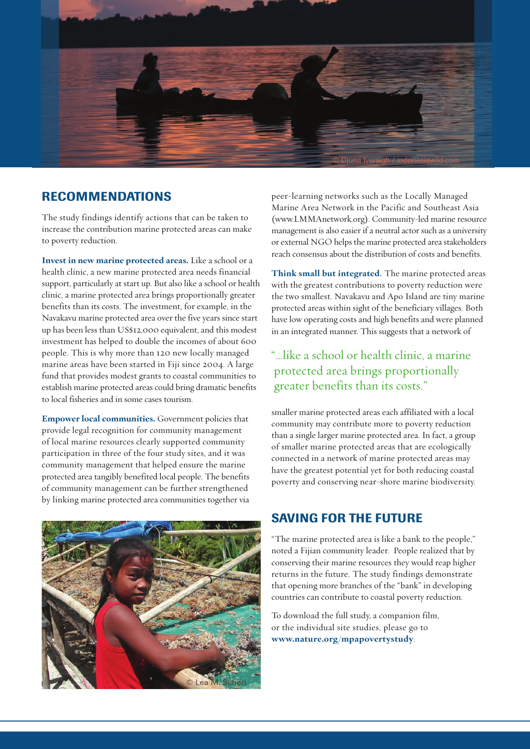

## **RECOMMENDATIONS**

The study findings identify actions that can be taken to increase the contribution marine protected areas can make to poverty reduction.

**Invest in new marine protected areas.** Like a school or a health clinic, a new marine protected area needs financial support, particularly at start up. But also like a school or health clinic, a marine protected area brings proportionally greater benefits than its costs. The investment, for example, in the Navakavu marine protected area over the five years since start up has been less than US\$12,000 equivalent, and this modest investment has helped to double the incomes of about 600 people. This is why more than 120 new locally managed marine areas have been started in Fiji since 2004. A large fund that provides modest grants to coastal communities to establish marine protected areas could bring dramatic benefits to local fisheries and in some cases tourism.

**Empower local communities.** Government policies that provide legal recognition for community management of local marine resources clearly supported community participation in three of the four study sites, and it was community management that helped ensure the marine protected area tangibly benefited local people. The benefits of community management can be further strengthened by linking marine protected area communities together via



peer-learning networks such as the Locally Managed Marine Area Network in the Pacific and Southeast Asia (www.LMMAnetwork.org). Community-led marine resource management is also easier if a neutral actor such as a university or external NGO helps the marine protected area stakeholders reach consensus about the distribution of costs and benefits.

**Think small but integrated**. The marine protected areas with the greatest contributions to poverty reduction were the two smallest. Navakavu and Apo Island are tiny marine protected areas within sight of the beneficiary villages. Both have low operating costs and high benefits and were planned in an integrated manner. This suggests that a network of

"…like a school or health clinic, a marine protected area brings proportionally greater benefits than its costs."

smaller marine protected areas each affiliated with a local community may contribute more to poverty reduction than a single larger marine protected area. In fact, a group of smaller marine protected areas that are ecologically connected in a network of marine protected areas may have the greatest potential yet for both reducing coastal poverty and conserving near-shore marine biodiversity.

## **SAVING FOR THE FUTURE**

"The marine protected area is like a bank to the people," noted a Fijian community leader. People realized that by conserving their marine resources they would reap higher returns in the future. The study findings demonstrate that opening more branches of the "bank" in developing countries can contribute to coastal poverty reduction.

To download the full study, a companion film, or the individual site studies, please go to **www.nature.org/mpapovertystudy**.